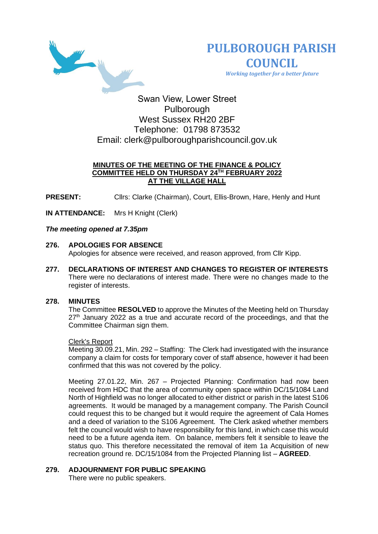



 *Working together for a better future*

Swan View, Lower Street Pulborough West Sussex RH20 2BF Telephone: 01798 873532 Email: [clerk@pulboroughparishcouncil.gov.uk](mailto:clerk@pulboroughparishcouncil.gov.uk)

## **MINUTES OF THE MEETING OF THE FINANCE & POLICY COMMITTEE HELD ON THURSDAY 24TH FEBRUARY 2022 AT THE VILLAGE HALL**

**PRESENT:** Clirs: Clarke (Chairman), Court, Ellis-Brown, Hare, Henly and Hunt

**IN ATTENDANCE:** Mrs H Knight (Clerk)

## *The meeting opened at 7.35pm*

### **276. APOLOGIES FOR ABSENCE**

Apologies for absence were received, and reason approved, from Cllr Kipp.

**277. DECLARATIONS OF INTEREST AND CHANGES TO REGISTER OF INTERESTS** There were no declarations of interest made. There were no changes made to the register of interests.

## **278. MINUTES**

The Committee **RESOLVED** to approve the Minutes of the Meeting held on Thursday  $27<sup>th</sup>$  January 2022 as a true and accurate record of the proceedings, and that the Committee Chairman sign them.

#### Clerk's Report

Meeting 30.09.21, Min. 292 – Staffing: The Clerk had investigated with the insurance company a claim for costs for temporary cover of staff absence, however it had been confirmed that this was not covered by the policy.

Meeting 27.01.22, Min. 267 – Projected Planning: Confirmation had now been received from HDC that the area of community open space within DC/15/1084 Land North of Highfield was no longer allocated to either district or parish in the latest S106 agreements. It would be managed by a management company. The Parish Council could request this to be changed but it would require the agreement of Cala Homes and a deed of variation to the S106 Agreement. The Clerk asked whether members felt the council would wish to have responsibility for this land, in which case this would need to be a future agenda item. On balance, members felt it sensible to leave the status quo. This therefore necessitated the removal of item 1a Acquisition of new recreation ground re. DC/15/1084 from the Projected Planning list – **AGREED**.

## **279. ADJOURNMENT FOR PUBLIC SPEAKING**

There were no public speakers.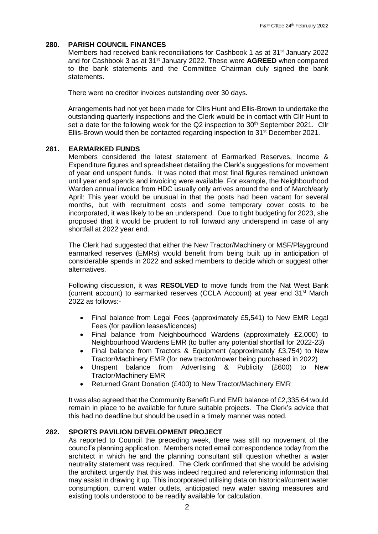### **280. PARISH COUNCIL FINANCES**

Members had received bank reconciliations for Cashbook 1 as at 31<sup>st</sup> January 2022 and for Cashbook 3 as at 31st January 2022. These were **AGREED** when compared to the bank statements and the Committee Chairman duly signed the bank statements.

There were no creditor invoices outstanding over 30 days.

Arrangements had not yet been made for Cllrs Hunt and Ellis-Brown to undertake the outstanding quarterly inspections and the Clerk would be in contact with Cllr Hunt to set a date for the following week for the Q2 inspection to 30<sup>th</sup> September 2021. Cllr Ellis-Brown would then be contacted regarding inspection to 31<sup>st</sup> December 2021.

#### **281. EARMARKED FUNDS**

Members considered the latest statement of Earmarked Reserves, Income & Expenditure figures and spreadsheet detailing the Clerk's suggestions for movement of year end unspent funds. It was noted that most final figures remained unknown until year end spends and invoicing were available. For example, the Neighbourhood Warden annual invoice from HDC usually only arrives around the end of March/early April: This year would be unusual in that the posts had been vacant for several months, but with recruitment costs and some temporary cover costs to be incorporated, it was likely to be an underspend. Due to tight budgeting for 2023, she proposed that it would be prudent to roll forward any underspend in case of any shortfall at 2022 year end.

The Clerk had suggested that either the New Tractor/Machinery or MSF/Playground earmarked reserves (EMRs) would benefit from being built up in anticipation of considerable spends in 2022 and asked members to decide which or suggest other alternatives.

Following discussion, it was **RESOLVED** to move funds from the Nat West Bank (current account) to earmarked reserves (CCLA Account) at year end 31st March 2022 as follows:-

- Final balance from Legal Fees (approximately £5,541) to New EMR Legal Fees (for pavilion leases/licences)
- Final balance from Neighbourhood Wardens (approximately £2,000) to Neighbourhood Wardens EMR (to buffer any potential shortfall for 2022-23)
- Final balance from Tractors & Equipment (approximately £3,754) to New Tractor/Machinery EMR (for new tractor/mower being purchased in 2022)
- Unspent balance from Advertising & Publicity (£600) to New Tractor/Machinery EMR
- Returned Grant Donation (£400) to New Tractor/Machinery EMR

It was also agreed that the Community Benefit Fund EMR balance of £2,335.64 would remain in place to be available for future suitable projects. The Clerk's advice that this had no deadline but should be used in a timely manner was noted.

#### **282. SPORTS PAVILION DEVELOPMENT PROJECT**

As reported to Council the preceding week, there was still no movement of the council's planning application. Members noted email correspondence today from the architect in which he and the planning consultant still question whether a water neutrality statement was required. The Clerk confirmed that she would be advising the architect urgently that this was indeed required and referencing information that may assist in drawing it up. This incorporated utilising data on historical/current water consumption, current water outlets, anticipated new water saving measures and existing tools understood to be readily available for calculation.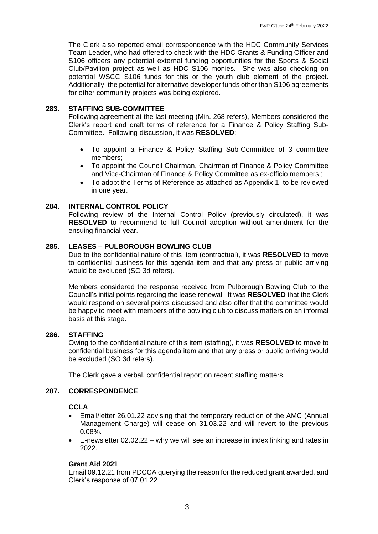The Clerk also reported email correspondence with the HDC Community Services Team Leader, who had offered to check with the HDC Grants & Funding Officer and S106 officers any potential external funding opportunities for the Sports & Social Club/Pavilion project as well as HDC S106 monies. She was also checking on potential WSCC S106 funds for this or the youth club element of the project. Additionally, the potential for alternative developer funds other than S106 agreements for other community projects was being explored.

### **283. STAFFING SUB-COMMITTEE**

Following agreement at the last meeting (Min. 268 refers), Members considered the Clerk's report and draft terms of reference for a Finance & Policy Staffing Sub-Committee. Following discussion, it was **RESOLVED**:-

- To appoint a Finance & Policy Staffing Sub-Committee of 3 committee members;
- To appoint the Council Chairman, Chairman of Finance & Policy Committee and Vice-Chairman of Finance & Policy Committee as ex-officio members ;
- To adopt the Terms of Reference as attached as Appendix 1, to be reviewed in one year.

### **284. INTERNAL CONTROL POLICY**

Following review of the Internal Control Policy (previously circulated), it was **RESOLVED** to recommend to full Council adoption without amendment for the ensuing financial year.

## **285. LEASES – PULBOROUGH BOWLING CLUB**

Due to the confidential nature of this item (contractual), it was **RESOLVED** to move to confidential business for this agenda item and that any press or public arriving would be excluded (SO 3d refers).

Members considered the response received from Pulborough Bowling Club to the Council's initial points regarding the lease renewal. It was **RESOLVED** that the Clerk would respond on several points discussed and also offer that the committee would be happy to meet with members of the bowling club to discuss matters on an informal basis at this stage.

#### **286. STAFFING**

Owing to the confidential nature of this item (staffing), it was **RESOLVED** to move to confidential business for this agenda item and that any press or public arriving would be excluded (SO 3d refers).

The Clerk gave a verbal, confidential report on recent staffing matters.

#### **287. CORRESPONDENCE**

#### **CCLA**

- Email/letter 26.01.22 advising that the temporary reduction of the AMC (Annual Management Charge) will cease on 31.03.22 and will revert to the previous 0.08%.
- E-newsletter 02.02.22 why we will see an increase in index linking and rates in 2022.

## **Grant Aid 2021**

Email 09.12.21 from PDCCA querying the reason for the reduced grant awarded, and Clerk's response of 07.01.22.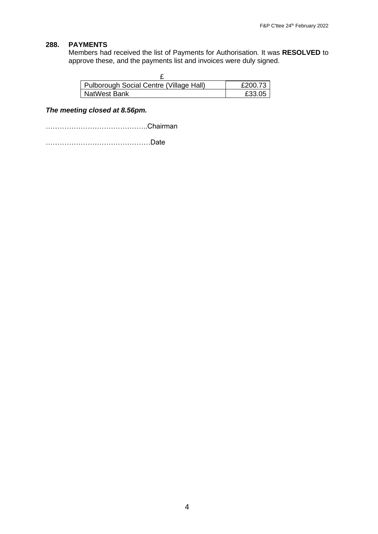# **288. PAYMENTS**

Members had received the list of Payments for Authorisation. It was **RESOLVED** to approve these, and the payments list and invoices were duly signed.

| Pulborough Social Centre (Village Hall) | £200.73 |
|-----------------------------------------|---------|
| NatWest Bank                            | £33.05  |

# *The meeting closed at 8.56pm.*

……………………………………..Chairman

………………………………………Date